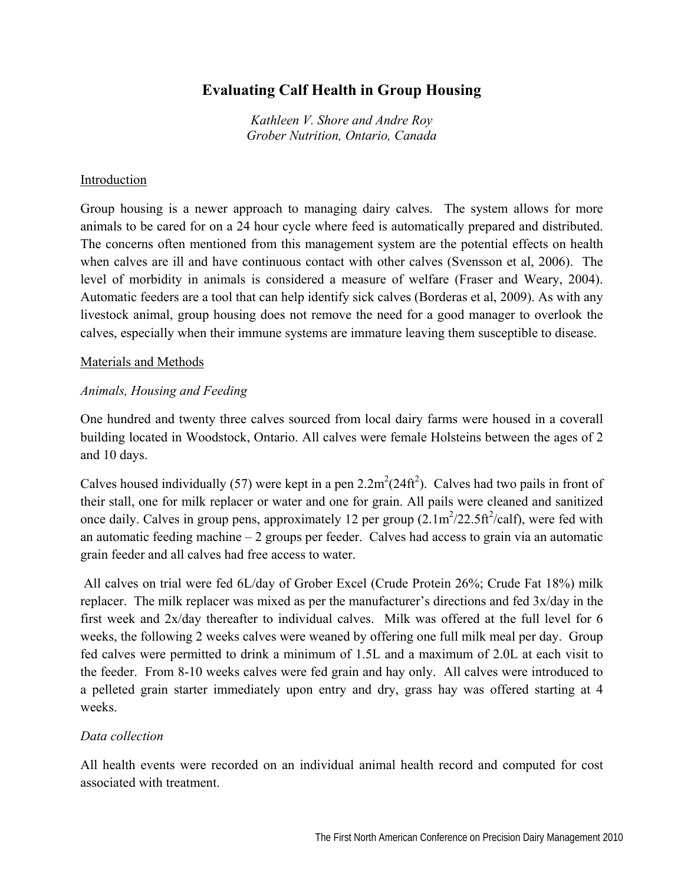# **Evaluating Calf Health in Group Housing**

*Kathleen V. Shore and Andre Roy Grober Nutrition, Ontario, Canada* 

## Introduction

Group housing is a newer approach to managing dairy calves. The system allows for more animals to be cared for on a 24 hour cycle where feed is automatically prepared and distributed. The concerns often mentioned from this management system are the potential effects on health when calves are ill and have continuous contact with other calves (Svensson et al, 2006). The level of morbidity in animals is considered a measure of welfare (Fraser and Weary, 2004). Automatic feeders are a tool that can help identify sick calves (Borderas et al, 2009). As with any livestock animal, group housing does not remove the need for a good manager to overlook the calves, especially when their immune systems are immature leaving them susceptible to disease.

## Materials and Methods

## *Animals, Housing and Feeding*

One hundred and twenty three calves sourced from local dairy farms were housed in a coverall building located in Woodstock, Ontario. All calves were female Holsteins between the ages of 2 and 10 days.

Calves housed individually (57) were kept in a pen  $2.2m^2(24ft^2)$ . Calves had two pails in front of their stall, one for milk replacer or water and one for grain. All pails were cleaned and sanitized once daily. Calves in group pens, approximately 12 per group  $(2.1 \text{m}^2/22.5 \text{ft}^2/\text{calf})$ , were fed with an automatic feeding machine – 2 groups per feeder. Calves had access to grain via an automatic grain feeder and all calves had free access to water.

 All calves on trial were fed 6L/day of Grober Excel (Crude Protein 26%; Crude Fat 18%) milk replacer. The milk replacer was mixed as per the manufacturer's directions and fed 3x/day in the first week and 2x/day thereafter to individual calves. Milk was offered at the full level for 6 weeks, the following 2 weeks calves were weaned by offering one full milk meal per day. Group fed calves were permitted to drink a minimum of 1.5L and a maximum of 2.0L at each visit to the feeder. From 8-10 weeks calves were fed grain and hay only. All calves were introduced to a pelleted grain starter immediately upon entry and dry, grass hay was offered starting at 4 weeks.

# *Data collection*

All health events were recorded on an individual animal health record and computed for cost associated with treatment.